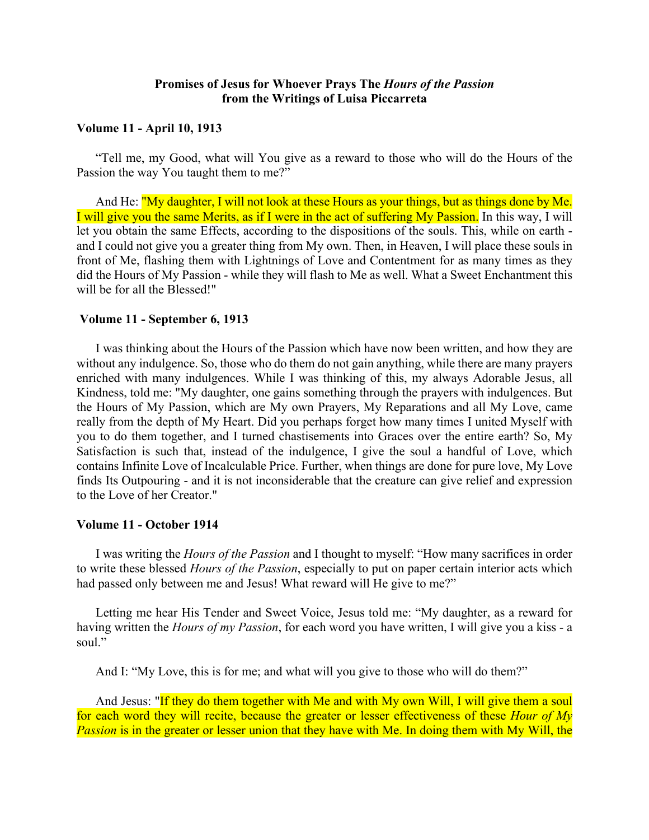# **Promises of Jesus for Whoever Prays The** *Hours of the Passion* **from the Writings of Luisa Piccarreta**

## **Volume 11 - April 10, 1913**

"Tell me, my Good, what will You give as a reward to those who will do the Hours of the Passion the way You taught them to me?"

And He: "My daughter, I will not look at these Hours as your things, but as things done by Me. I will give you the same Merits, as if I were in the act of suffering My Passion. In this way, I will let you obtain the same Effects, according to the dispositions of the souls. This, while on earth and I could not give you a greater thing from My own. Then, in Heaven, I will place these souls in front of Me, flashing them with Lightnings of Love and Contentment for as many times as they did the Hours of My Passion - while they will flash to Me as well. What a Sweet Enchantment this will be for all the Blessed!"

## **Volume 11 - September 6, 1913**

I was thinking about the Hours of the Passion which have now been written, and how they are without any indulgence. So, those who do them do not gain anything, while there are many prayers enriched with many indulgences. While I was thinking of this, my always Adorable Jesus, all Kindness, told me: "My daughter, one gains something through the prayers with indulgences. But the Hours of My Passion, which are My own Prayers, My Reparations and all My Love, came really from the depth of My Heart. Did you perhaps forget how many times I united Myself with you to do them together, and I turned chastisements into Graces over the entire earth? So, My Satisfaction is such that, instead of the indulgence, I give the soul a handful of Love, which contains Infinite Love of Incalculable Price. Further, when things are done for pure love, My Love finds Its Outpouring - and it is not inconsiderable that the creature can give relief and expression to the Love of her Creator."

#### **Volume 11 - October 1914**

I was writing the *Hours of the Passion* and I thought to myself: "How many sacrifices in order to write these blessed *Hours of the Passion*, especially to put on paper certain interior acts which had passed only between me and Jesus! What reward will He give to me?"

Letting me hear His Tender and Sweet Voice, Jesus told me: "My daughter, as a reward for having written the *Hours of my Passion*, for each word you have written, I will give you a kiss - a soul"

And I: "My Love, this is for me; and what will you give to those who will do them?"

And Jesus: "If they do them together with Me and with My own Will, I will give them a soul for each word they will recite, because the greater or lesser effectiveness of these *Hour of My Passion* is in the greater or lesser union that they have with Me. In doing them with My Will, the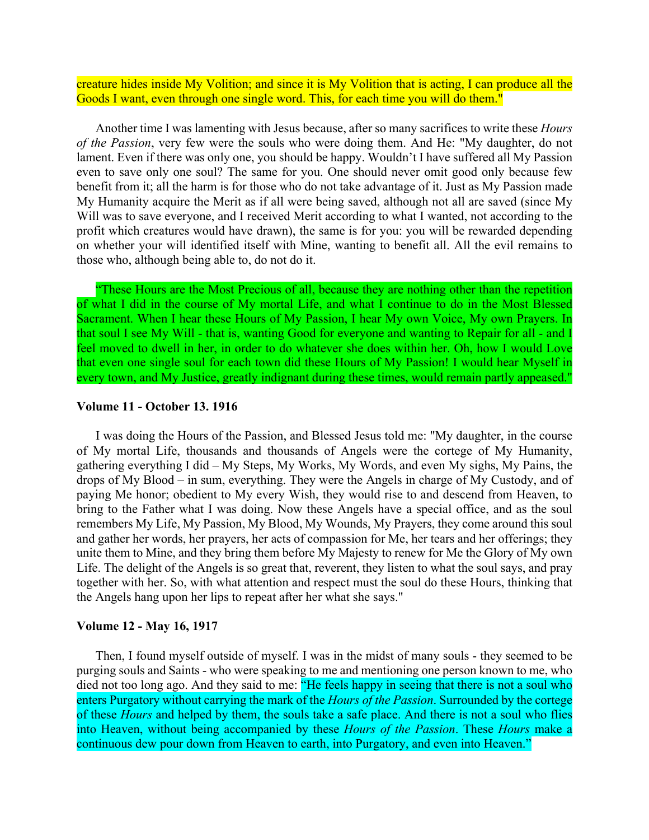creature hides inside My Volition; and since it is My Volition that is acting, I can produce all the Goods I want, even through one single word. This, for each time you will do them."

Another time I was lamenting with Jesus because, after so many sacrifices to write these *Hours of the Passion*, very few were the souls who were doing them. And He: "My daughter, do not lament. Even if there was only one, you should be happy. Wouldn't I have suffered all My Passion even to save only one soul? The same for you. One should never omit good only because few benefit from it; all the harm is for those who do not take advantage of it. Just as My Passion made My Humanity acquire the Merit as if all were being saved, although not all are saved (since My Will was to save everyone, and I received Merit according to what I wanted, not according to the profit which creatures would have drawn), the same is for you: you will be rewarded depending on whether your will identified itself with Mine, wanting to benefit all. All the evil remains to those who, although being able to, do not do it.

"These Hours are the Most Precious of all, because they are nothing other than the repetition of what I did in the course of My mortal Life, and what I continue to do in the Most Blessed Sacrament. When I hear these Hours of My Passion, I hear My own Voice, My own Prayers. In that soul I see My Will - that is, wanting Good for everyone and wanting to Repair for all - and I feel moved to dwell in her, in order to do whatever she does within her. Oh, how I would Love that even one single soul for each town did these Hours of My Passion! I would hear Myself in every town, and My Justice, greatly indignant during these times, would remain partly appeased."

#### **Volume 11 - October 13. 1916**

I was doing the Hours of the Passion, and Blessed Jesus told me: "My daughter, in the course of My mortal Life, thousands and thousands of Angels were the cortege of My Humanity, gathering everything I did – My Steps, My Works, My Words, and even My sighs, My Pains, the drops of My Blood – in sum, everything. They were the Angels in charge of My Custody, and of paying Me honor; obedient to My every Wish, they would rise to and descend from Heaven, to bring to the Father what I was doing. Now these Angels have a special office, and as the soul remembers My Life, My Passion, My Blood, My Wounds, My Prayers, they come around this soul and gather her words, her prayers, her acts of compassion for Me, her tears and her offerings; they unite them to Mine, and they bring them before My Majesty to renew for Me the Glory of My own Life. The delight of the Angels is so great that, reverent, they listen to what the soul says, and pray together with her. So, with what attention and respect must the soul do these Hours, thinking that the Angels hang upon her lips to repeat after her what she says."

## **Volume 12 - May 16, 1917**

Then, I found myself outside of myself. I was in the midst of many souls - they seemed to be purging souls and Saints - who were speaking to me and mentioning one person known to me, who died not too long ago. And they said to me: "He feels happy in seeing that there is not a soul who enters Purgatory without carrying the mark of the *Hours of the Passion*. Surrounded by the cortege of these *Hours* and helped by them, the souls take a safe place. And there is not a soul who flies into Heaven, without being accompanied by these *Hours of the Passion*. These *Hours* make a continuous dew pour down from Heaven to earth, into Purgatory, and even into Heaven."